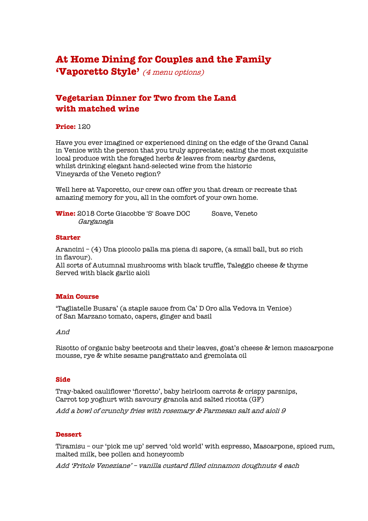# **At Home Dining for Couples and the Family 'Vaporetto Style'** (4 menu options)

### **Vegetarian Dinner for Two from the Land with matched wine**

### **Price:** 120

Have you ever imagined or experienced dining on the edge of the Grand Canal in Venice with the person that you truly appreciate; eating the most exquisite local produce with the foraged herbs & leaves from nearby gardens, whilst drinking elegant hand-selected wine from the historic Vineyards of the Veneto region?

Well here at Vaporetto, our crew can offer you that dream or recreate that amazing memory for you, all in the comfort of your own home.

**Wine:** 2018 Corte Giacobbe 'S' Soave DOC Soave, Veneto Garganega

#### **Starter**

Arancini – (4) Una piccolo palla ma piena di sapore, (a small ball, but so rich in flavour).

All sorts of Autumnal mushrooms with black truffle, Taleggio cheese & thyme Served with black garlic aioli

### **Main Course**

'Tagliatelle Busara' (a staple sauce from Ca' D Oro alla Vedova in Venice) of San Marzano tomato, capers, ginger and basil

#### And

Risotto of organic baby beetroots and their leaves, goat's cheese & lemon mascarpone mousse, rye & white sesame pangrattato and gremolata oil

### **Side**

Tray-baked cauliflower 'fioretto', baby heirloom carrots & crispy parsnips, Carrot top yoghurt with savoury granola and salted ricotta (GF)

Add a bowl of crunchy fries with rosemary & Parmesan salt and aioli 9

### **Dessert**

Tiramisu – our 'pick me up' served 'old world' with espresso, Mascarpone, spiced rum, malted milk, bee pollen and honeycomb

Add 'Fritole Veneziane' – vanilla custard filled cinnamon doughnuts 4 each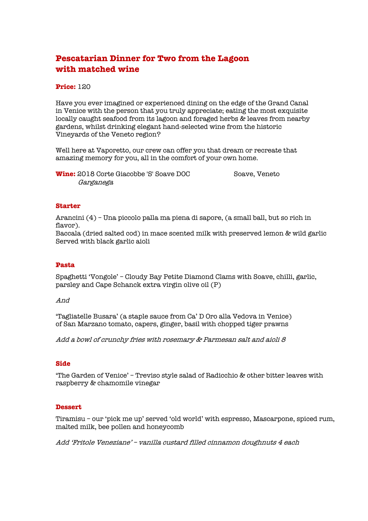# **Pescatarian Dinner for Two from the Lagoon with matched wine**

### **Price:** 120

Have you ever imagined or experienced dining on the edge of the Grand Canal in Venice with the person that you truly appreciate; eating the most exquisite locally caught seafood from its lagoon and foraged herbs & leaves from nearby gardens, whilst drinking elegant hand-selected wine from the historic Vineyards of the Veneto region?

Well here at Vaporetto, our crew can offer you that dream or recreate that amazing memory for you, all in the comfort of your own home.

**Wine:** 2018 Corte Giacobbe 'S' Soave DOC Soave, Veneto Garganega

### **Starter**

Arancini (4) – Una piccolo palla ma piena di sapore, (a small ball, but so rich in flavor).

Baccala (dried salted cod) in mace scented milk with preserved lemon & wild garlic Served with black garlic aioli

### **Pasta**

Spaghetti 'Vongole' – Cloudy Bay Petite Diamond Clams with Soave, chilli, garlic, parsley and Cape Schanck extra virgin olive oil (P)

### And

'Tagliatelle Busara' (a staple sauce from Ca' D Oro alla Vedova in Venice) of San Marzano tomato, capers, ginger, basil with chopped tiger prawns

Add a bowl of crunchy fries with rosemary & Parmesan salt and aioli 8

### **Side**

'The Garden of Venice' – Treviso style salad of Radicchio & other bitter leaves with raspberry & chamomile vinegar

### **Dessert**

Tiramisu – our 'pick me up' served 'old world' with espresso, Mascarpone, spiced rum, malted milk, bee pollen and honeycomb

Add 'Fritole Veneziane' – vanilla custard filled cinnamon doughnuts 4 each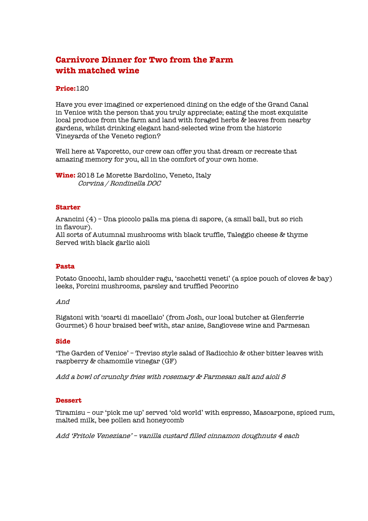# **Carnivore Dinner for Two from the Farm with matched wine**

### **Price:**120

Have you ever imagined or experienced dining on the edge of the Grand Canal in Venice with the person that you truly appreciate; eating the most exquisite local produce from the farm and land with foraged herbs & leaves from nearby gardens, whilst drinking elegant hand-selected wine from the historic Vineyards of the Veneto region?

Well here at Vaporetto, our crew can offer you that dream or recreate that amazing memory for you, all in the comfort of your own home.

**Wine:** 2018 Le Morette Bardolino, Veneto, Italy Corvina / Rondinella DOC

### **Starter**

Arancini (4) – Una piccolo palla ma piena di sapore, (a small ball, but so rich in flavour).

All sorts of Autumnal mushrooms with black truffle, Taleggio cheese & thyme Served with black garlic aioli

### **Pasta**

Potato Gnocchi, lamb shoulder ragu, 'sacchetti veneti' (a spice pouch of cloves & bay) leeks, Porcini mushrooms, parsley and truffled Pecorino

### And

Rigatoni with 'scarti di macellaio' (from Josh, our local butcher at Glenferrie Gourmet) 6 hour braised beef with, star anise, Sangiovese wine and Parmesan

### **Side**

'The Garden of Venice' – Treviso style salad of Radicchio & other bitter leaves with raspberry & chamomile vinegar (GF)

Add a bowl of crunchy fries with rosemary & Parmesan salt and aioli 8

### **Dessert**

Tiramisu – our 'pick me up' served 'old world' with espresso, Mascarpone, spiced rum, malted milk, bee pollen and honeycomb

Add 'Fritole Veneziane' – vanilla custard filled cinnamon doughnuts 4 each